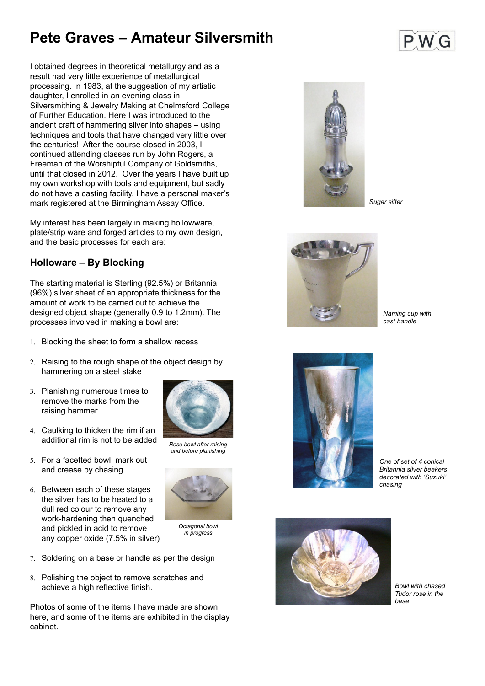# **Pete Graves – Amateur Silversmith**

I obtained degrees in theoretical metallurgy and as a result had very little experience of metallurgical processing. In 1983, at the suggestion of my artistic daughter, I enrolled in an evening class in Silversmithing & Jewelry Making at Chelmsford College of Further Education. Here I was introduced to the ancient craft of hammering silver into shapes – using techniques and tools that have changed very little over the centuries! After the course closed in 2003, I continued attending classes run by John Rogers, a Freeman of the Worshipful Company of Goldsmiths, until that closed in 2012. Over the years I have built up my own workshop with tools and equipment, but sadly do not have a casting facility. I have a personal maker's mark registered at the Birmingham Assay Office.

My interest has been largely in making hollowware, plate/strip ware and forged articles to my own design, and the basic processes for each are:

- 7. Soldering on a base or handle as per the design
- 8. Polishing the object to remove scratches and achieve a high reflective finish.

### **Holloware – By Blocking**

The starting material is Sterling (92.5%) or Britannia (96%) silver sheet of an appropriate thickness for the amount of work to be carried out to achieve the designed object shape (generally 0.9 to 1.2mm). The processes involved in making a bowl are:

- 1. Blocking the sheet to form a shallow recess
- 2. Raising to the rough shape of the object design by



- hammering on a steel stake
- Planishing numerous times to remove the marks from the raising hammer
- Caulking to thicken the rim if an additional rim is not to be added
- 5. For a facetted bowl, mark out and crease by chasing
- 6. Between each of these stages the silver has to be heated to a dull red colour to remove any work-hardening then quenched and pickled in acid to remove any copper oxide (7.5% in silver)

Photos of some of the items I have made are shown here, and some of the items are exhibited in the display cabinet.



*Rose bowl after raising and before planishing*



*Octagonal bowl in progress*

*One of set of 4 conical Britannia silver beakers decorated with 'Suzuki' chasing*



*Bowl with chased Tudor rose in the base*





*Naming cup with cast handle*